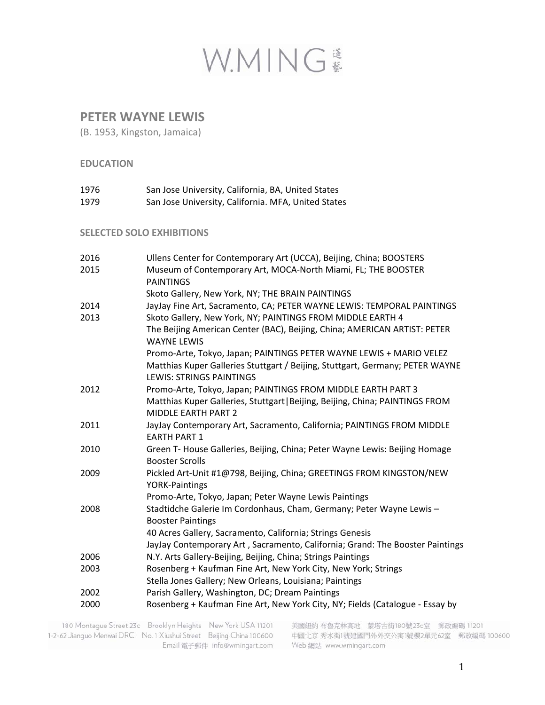

### **PETER WAYNE LEWIS**

(B. 1953, Kingston, Jamaica)

### **EDUCATION**

| 1976 | San Jose University, California, BA, United States  |
|------|-----------------------------------------------------|
| 1979 | San Jose University, California. MFA, United States |

#### **SELECTED SOLO EXHIBITIONS**

| 2016 | Ullens Center for Contemporary Art (UCCA), Beijing, China; BOOSTERS                                                       |
|------|---------------------------------------------------------------------------------------------------------------------------|
| 2015 | Museum of Contemporary Art, MOCA-North Miami, FL; THE BOOSTER<br><b>PAINTINGS</b>                                         |
|      | Skoto Gallery, New York, NY; THE BRAIN PAINTINGS                                                                          |
| 2014 | JayJay Fine Art, Sacramento, CA; PETER WAYNE LEWIS: TEMPORAL PAINTINGS                                                    |
| 2013 | Skoto Gallery, New York, NY; PAINTINGS FROM MIDDLE EARTH 4                                                                |
|      | The Beijing American Center (BAC), Beijing, China; AMERICAN ARTIST: PETER<br><b>WAYNE LEWIS</b>                           |
|      | Promo-Arte, Tokyo, Japan; PAINTINGS PETER WAYNE LEWIS + MARIO VELEZ                                                       |
|      | Matthias Kuper Galleries Stuttgart / Beijing, Stuttgart, Germany; PETER WAYNE<br><b>LEWIS: STRINGS PAINTINGS</b>          |
| 2012 | Promo-Arte, Tokyo, Japan; PAINTINGS FROM MIDDLE EARTH PART 3                                                              |
|      | Matthias Kuper Galleries, Stuttgart   Beijing, Beijing, China; PAINTINGS FROM<br><b>MIDDLE EARTH PART 2</b>               |
| 2011 | JayJay Contemporary Art, Sacramento, California; PAINTINGS FROM MIDDLE<br><b>EARTH PART 1</b>                             |
| 2010 | Green T- House Galleries, Beijing, China; Peter Wayne Lewis: Beijing Homage<br><b>Booster Scrolls</b>                     |
| 2009 | Pickled Art-Unit #1@798, Beijing, China; GREETINGS FROM KINGSTON/NEW<br><b>YORK-Paintings</b>                             |
|      | Promo-Arte, Tokyo, Japan; Peter Wayne Lewis Paintings                                                                     |
| 2008 | Stadtidche Galerie Im Cordonhaus, Cham, Germany; Peter Wayne Lewis-<br><b>Booster Paintings</b>                           |
|      | 40 Acres Gallery, Sacramento, California; Strings Genesis                                                                 |
|      | JayJay Contemporary Art, Sacramento, California; Grand: The Booster Paintings                                             |
| 2006 | N.Y. Arts Gallery-Beijing, Beijing, China; Strings Paintings                                                              |
| 2003 | Rosenberg + Kaufman Fine Art, New York City, New York; Strings<br>Stella Jones Gallery; New Orleans, Louisiana; Paintings |
| 2002 | Parish Gallery, Washington, DC; Dream Paintings                                                                           |
| 2000 | Rosenberg + Kaufman Fine Art, New York City, NY; Fields (Catalogue - Essay by                                             |
|      |                                                                                                                           |

180 Montague Street 23c Brooklyn Heights New York USA 11201 1-2-62 Jianguo Menwai DRC No. 1 Xiushui Street Beijing China 100600 Email 電子郵件 info@wmingart.com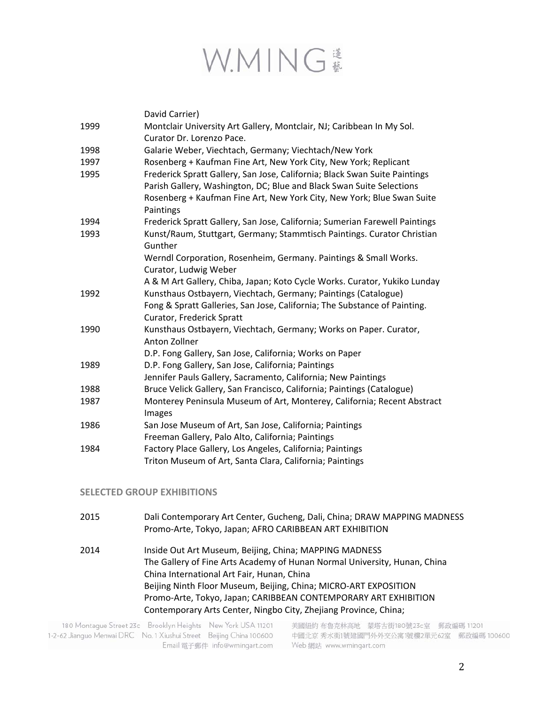

|      | David Carrier)                                                              |
|------|-----------------------------------------------------------------------------|
| 1999 | Montclair University Art Gallery, Montclair, NJ; Caribbean In My Sol.       |
|      | Curator Dr. Lorenzo Pace.                                                   |
| 1998 | Galarie Weber, Viechtach, Germany; Viechtach/New York                       |
| 1997 | Rosenberg + Kaufman Fine Art, New York City, New York; Replicant            |
| 1995 | Frederick Spratt Gallery, San Jose, California; Black Swan Suite Paintings  |
|      | Parish Gallery, Washington, DC; Blue and Black Swan Suite Selections        |
|      | Rosenberg + Kaufman Fine Art, New York City, New York; Blue Swan Suite      |
|      | Paintings                                                                   |
| 1994 | Frederick Spratt Gallery, San Jose, California; Sumerian Farewell Paintings |
| 1993 | Kunst/Raum, Stuttgart, Germany; Stammtisch Paintings. Curator Christian     |
|      | Gunther                                                                     |
|      | Werndl Corporation, Rosenheim, Germany. Paintings & Small Works.            |
|      | Curator, Ludwig Weber                                                       |
|      | A & M Art Gallery, Chiba, Japan; Koto Cycle Works. Curator, Yukiko Lunday   |
| 1992 | Kunsthaus Ostbayern, Viechtach, Germany; Paintings (Catalogue)              |
|      | Fong & Spratt Galleries, San Jose, California; The Substance of Painting.   |
|      | Curator, Frederick Spratt                                                   |
| 1990 | Kunsthaus Ostbayern, Viechtach, Germany; Works on Paper. Curator,           |
|      | Anton Zollner                                                               |
|      | D.P. Fong Gallery, San Jose, California; Works on Paper                     |
| 1989 | D.P. Fong Gallery, San Jose, California; Paintings                          |
|      | Jennifer Pauls Gallery, Sacramento, California; New Paintings               |
| 1988 | Bruce Velick Gallery, San Francisco, California; Paintings (Catalogue)      |
| 1987 | Monterey Peninsula Museum of Art, Monterey, California; Recent Abstract     |
|      | Images                                                                      |
| 1986 | San Jose Museum of Art, San Jose, California; Paintings                     |
|      | Freeman Gallery, Palo Alto, California; Paintings                           |
| 1984 | Factory Place Gallery, Los Angeles, California; Paintings                   |
|      | Triton Museum of Art, Santa Clara, California; Paintings                    |

### **SELECTED GROUP EXHIBITIONS**

2015 Dali Contemporary Art Center, Gucheng, Dali, China; DRAW MAPPING MADNESS Promo‐Arte, Tokyo, Japan; AFRO CARIBBEAN ART EXHIBITION 2014 Inside Out Art Museum, Beijing, China; MAPPING MADNESS The Gallery of Fine Arts Academy of Hunan Normal University, Hunan, China China International Art Fair, Hunan, China Beijing Ninth Floor Museum, Beijing, China; MICRO‐ART EXPOSITION Promo‐Arte, Tokyo, Japan; CARIBBEAN CONTEMPORARY ART EXHIBITION Contemporary Arts Center, Ningbo City, Zhejiang Province, China;

180 Montague Street 23c Brooklyn Heights New York USA 11201 1-2-62 Jianguo Menwai DRC No. 1 Xiushui Street Beijing China 100600 Email 電子郵件 info@wmingart.com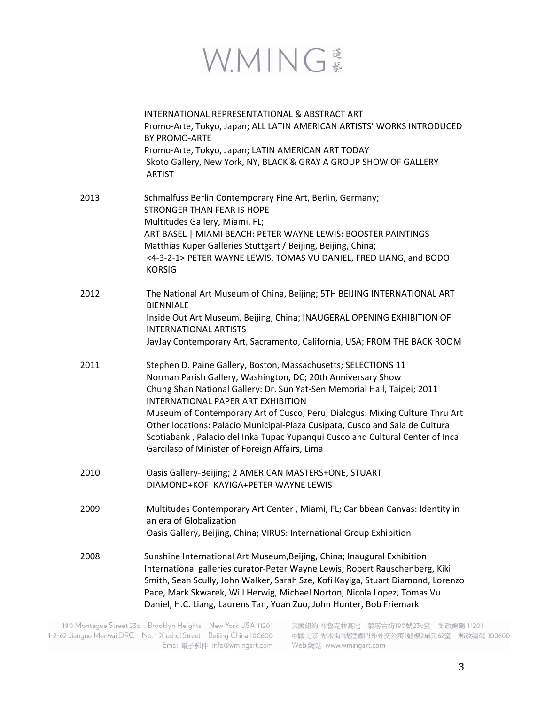

|      | INTERNATIONAL REPRESENTATIONAL & ABSTRACT ART<br>Promo-Arte, Tokyo, Japan; ALL LATIN AMERICAN ARTISTS' WORKS INTRODUCED<br><b>BY PROMO-ARTE</b><br>Promo-Arte, Tokyo, Japan; LATIN AMERICAN ART TODAY<br>Skoto Gallery, New York, NY, BLACK & GRAY A GROUP SHOW OF GALLERY<br><b>ARTIST</b>                                                                                                                                                                                                                                                                |
|------|------------------------------------------------------------------------------------------------------------------------------------------------------------------------------------------------------------------------------------------------------------------------------------------------------------------------------------------------------------------------------------------------------------------------------------------------------------------------------------------------------------------------------------------------------------|
| 2013 | Schmalfuss Berlin Contemporary Fine Art, Berlin, Germany;<br><b>STRONGER THAN FEAR IS HOPE</b><br>Multitudes Gallery, Miami, FL;<br>ART BASEL   MIAMI BEACH: PETER WAYNE LEWIS: BOOSTER PAINTINGS<br>Matthias Kuper Galleries Stuttgart / Beijing, Beijing, China;<br><4-3-2-1> PETER WAYNE LEWIS, TOMAS VU DANIEL, FRED LIANG, and BODO<br><b>KORSIG</b>                                                                                                                                                                                                  |
| 2012 | The National Art Museum of China, Beijing; 5TH BEIJING INTERNATIONAL ART<br><b>BIENNIALE</b><br>Inside Out Art Museum, Beijing, China; INAUGERAL OPENING EXHIBITION OF<br><b>INTERNATIONAL ARTISTS</b><br>JayJay Contemporary Art, Sacramento, California, USA; FROM THE BACK ROOM                                                                                                                                                                                                                                                                         |
| 2011 | Stephen D. Paine Gallery, Boston, Massachusetts; SELECTIONS 11<br>Norman Parish Gallery, Washington, DC; 20th Anniversary Show<br>Chung Shan National Gallery: Dr. Sun Yat-Sen Memorial Hall, Taipei; 2011<br><b>INTERNATIONAL PAPER ART EXHIBITION</b><br>Museum of Contemporary Art of Cusco, Peru; Dialogus: Mixing Culture Thru Art<br>Other locations: Palacio Municipal-Plaza Cusipata, Cusco and Sala de Cultura<br>Scotiabank, Palacio del Inka Tupac Yupanqui Cusco and Cultural Center of Inca<br>Garcilaso of Minister of Foreign Affairs, Lima |
| 2010 | Oasis Gallery-Beijing; 2 AMERICAN MASTERS+ONE, STUART<br>DIAMOND+KOFI KAYIGA+PETER WAYNE LEWIS                                                                                                                                                                                                                                                                                                                                                                                                                                                             |
| 2009 | Multitudes Contemporary Art Center, Miami, FL; Caribbean Canvas: Identity in<br>an era of Globalization<br>Oasis Gallery, Beijing, China; VIRUS: International Group Exhibition                                                                                                                                                                                                                                                                                                                                                                            |
| 2008 | Sunshine International Art Museum, Beijing, China; Inaugural Exhibition:<br>International galleries curator-Peter Wayne Lewis; Robert Rauschenberg, Kiki<br>Smith, Sean Scully, John Walker, Sarah Sze, Kofi Kayiga, Stuart Diamond, Lorenzo<br>Pace, Mark Skwarek, Will Herwig, Michael Norton, Nicola Lopez, Tomas Vu<br>Daniel, H.C. Liang, Laurens Tan, Yuan Zuo, John Hunter, Bob Friemark                                                                                                                                                            |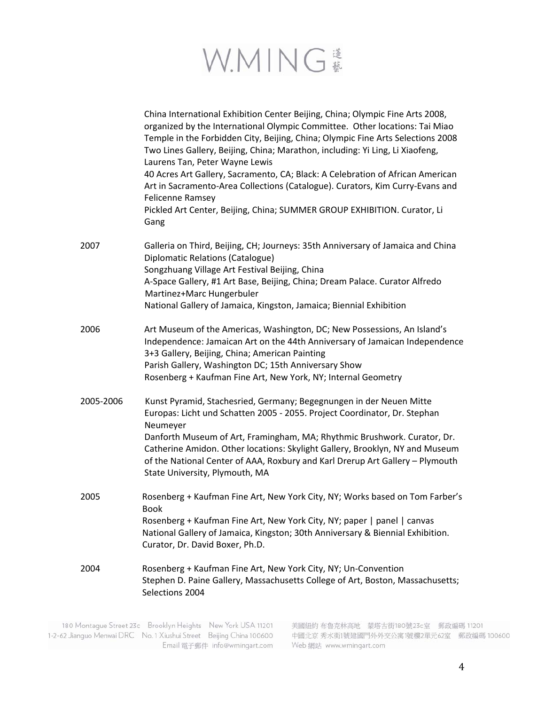

|           | China International Exhibition Center Beijing, China; Olympic Fine Arts 2008,<br>organized by the International Olympic Committee. Other locations: Tai Miao<br>Temple in the Forbidden City, Beijing, China; Olympic Fine Arts Selections 2008<br>Two Lines Gallery, Beijing, China; Marathon, including: Yi Ling, Li Xiaofeng,<br>Laurens Tan, Peter Wayne Lewis<br>40 Acres Art Gallery, Sacramento, CA; Black: A Celebration of African American<br>Art in Sacramento-Area Collections (Catalogue). Curators, Kim Curry-Evans and<br><b>Felicenne Ramsey</b><br>Pickled Art Center, Beijing, China; SUMMER GROUP EXHIBITION. Curator, Li<br>Gang |
|-----------|------------------------------------------------------------------------------------------------------------------------------------------------------------------------------------------------------------------------------------------------------------------------------------------------------------------------------------------------------------------------------------------------------------------------------------------------------------------------------------------------------------------------------------------------------------------------------------------------------------------------------------------------------|
| 2007      | Galleria on Third, Beijing, CH; Journeys: 35th Anniversary of Jamaica and China<br>Diplomatic Relations (Catalogue)<br>Songzhuang Village Art Festival Beijing, China<br>A-Space Gallery, #1 Art Base, Beijing, China; Dream Palace. Curator Alfredo<br>Martinez+Marc Hungerbuler<br>National Gallery of Jamaica, Kingston, Jamaica; Biennial Exhibition                                                                                                                                                                                                                                                                                             |
| 2006      | Art Museum of the Americas, Washington, DC; New Possessions, An Island's<br>Independence: Jamaican Art on the 44th Anniversary of Jamaican Independence<br>3+3 Gallery, Beijing, China; American Painting<br>Parish Gallery, Washington DC; 15th Anniversary Show<br>Rosenberg + Kaufman Fine Art, New York, NY; Internal Geometry                                                                                                                                                                                                                                                                                                                   |
| 2005-2006 | Kunst Pyramid, Stachesried, Germany; Begegnungen in der Neuen Mitte<br>Europas: Licht und Schatten 2005 - 2055. Project Coordinator, Dr. Stephan<br>Neumeyer<br>Danforth Museum of Art, Framingham, MA; Rhythmic Brushwork. Curator, Dr.<br>Catherine Amidon. Other locations: Skylight Gallery, Brooklyn, NY and Museum<br>of the National Center of AAA, Roxbury and Karl Drerup Art Gallery - Plymouth<br>State University, Plymouth, MA                                                                                                                                                                                                          |
| 2005      | Rosenberg + Kaufman Fine Art, New York City, NY; Works based on Tom Farber's<br>Book<br>Rosenberg + Kaufman Fine Art, New York City, NY; paper   panel   canvas<br>National Gallery of Jamaica, Kingston; 30th Anniversary & Biennial Exhibition.<br>Curator, Dr. David Boxer, Ph.D.                                                                                                                                                                                                                                                                                                                                                                 |
| 2004      | Rosenberg + Kaufman Fine Art, New York City, NY; Un-Convention<br>Stephen D. Paine Gallery, Massachusetts College of Art, Boston, Massachusetts;<br>Selections 2004                                                                                                                                                                                                                                                                                                                                                                                                                                                                                  |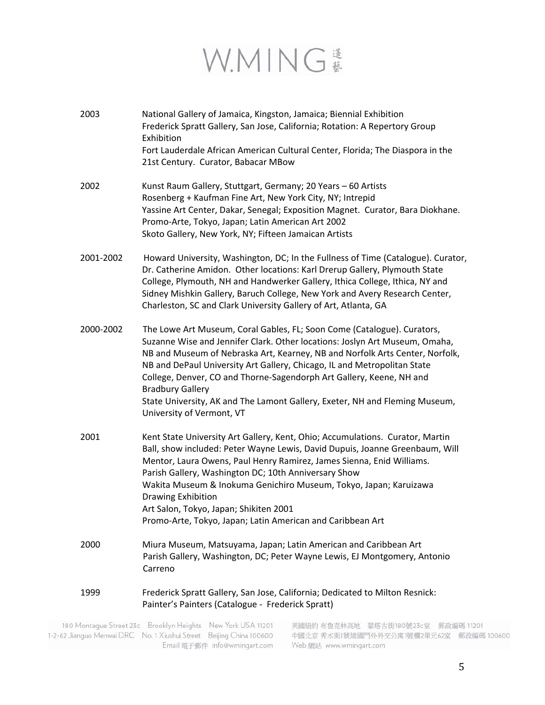# W.MING #

| 2003      | National Gallery of Jamaica, Kingston, Jamaica; Biennial Exhibition<br>Frederick Spratt Gallery, San Jose, California; Rotation: A Repertory Group<br>Exhibition<br>Fort Lauderdale African American Cultural Center, Florida; The Diaspora in the<br>21st Century. Curator, Babacar MBow                                                                                                                                                                                                                                         |
|-----------|-----------------------------------------------------------------------------------------------------------------------------------------------------------------------------------------------------------------------------------------------------------------------------------------------------------------------------------------------------------------------------------------------------------------------------------------------------------------------------------------------------------------------------------|
| 2002      | Kunst Raum Gallery, Stuttgart, Germany; 20 Years - 60 Artists<br>Rosenberg + Kaufman Fine Art, New York City, NY; Intrepid<br>Yassine Art Center, Dakar, Senegal; Exposition Magnet. Curator, Bara Diokhane.<br>Promo-Arte, Tokyo, Japan; Latin American Art 2002<br>Skoto Gallery, New York, NY; Fifteen Jamaican Artists                                                                                                                                                                                                        |
| 2001-2002 | Howard University, Washington, DC; In the Fullness of Time (Catalogue). Curator,<br>Dr. Catherine Amidon. Other locations: Karl Drerup Gallery, Plymouth State<br>College, Plymouth, NH and Handwerker Gallery, Ithica College, Ithica, NY and<br>Sidney Mishkin Gallery, Baruch College, New York and Avery Research Center,<br>Charleston, SC and Clark University Gallery of Art, Atlanta, GA                                                                                                                                  |
| 2000-2002 | The Lowe Art Museum, Coral Gables, FL; Soon Come (Catalogue). Curators,<br>Suzanne Wise and Jennifer Clark. Other locations: Joslyn Art Museum, Omaha,<br>NB and Museum of Nebraska Art, Kearney, NB and Norfolk Arts Center, Norfolk,<br>NB and DePaul University Art Gallery, Chicago, IL and Metropolitan State<br>College, Denver, CO and Thorne-Sagendorph Art Gallery, Keene, NH and<br><b>Bradbury Gallery</b><br>State University, AK and The Lamont Gallery, Exeter, NH and Fleming Museum,<br>University of Vermont, VT |
| 2001      | Kent State University Art Gallery, Kent, Ohio; Accumulations. Curator, Martin<br>Ball, show included: Peter Wayne Lewis, David Dupuis, Joanne Greenbaum, Will<br>Mentor, Laura Owens, Paul Henry Ramirez, James Sienna, Enid Williams.<br>Parish Gallery, Washington DC; 10th Anniversary Show<br>Wakita Museum & Inokuma Genichiro Museum, Tokyo, Japan; Karuizawa<br>Drawing Exhibition<br>Art Salon, Tokyo, Japan; Shikiten 2001<br>Promo-Arte, Tokyo, Japan; Latin American and Caribbean Art                                 |
| 2000      | Miura Museum, Matsuyama, Japan; Latin American and Caribbean Art<br>Parish Gallery, Washington, DC; Peter Wayne Lewis, EJ Montgomery, Antonio<br>Carreno                                                                                                                                                                                                                                                                                                                                                                          |
| 1999      | Frederick Spratt Gallery, San Jose, California; Dedicated to Milton Resnick:<br>Painter's Painters (Catalogue - Frederick Spratt)                                                                                                                                                                                                                                                                                                                                                                                                 |

180 Montague Street 23c Brooklyn Heights New York USA 11201 1-2-62 Jianguo Menwai DRC No. 1 Xiushui Street Beijing China 100600 **Email 電子郵件 info@wmingart.com**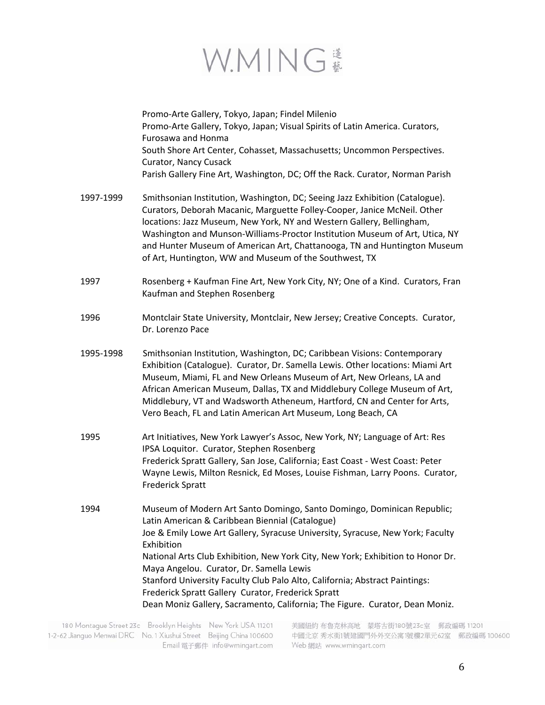

|           | Promo-Arte Gallery, Tokyo, Japan; Findel Milenio<br>Promo-Arte Gallery, Tokyo, Japan; Visual Spirits of Latin America. Curators,<br>Furosawa and Honma<br>South Shore Art Center, Cohasset, Massachusetts; Uncommon Perspectives.<br>Curator, Nancy Cusack<br>Parish Gallery Fine Art, Washington, DC; Off the Rack. Curator, Norman Parish                                                                                                                                                                                                                                   |
|-----------|-------------------------------------------------------------------------------------------------------------------------------------------------------------------------------------------------------------------------------------------------------------------------------------------------------------------------------------------------------------------------------------------------------------------------------------------------------------------------------------------------------------------------------------------------------------------------------|
| 1997-1999 | Smithsonian Institution, Washington, DC; Seeing Jazz Exhibition (Catalogue).<br>Curators, Deborah Macanic, Marguette Folley-Cooper, Janice McNeil. Other<br>locations: Jazz Museum, New York, NY and Western Gallery, Bellingham,<br>Washington and Munson-Williams-Proctor Institution Museum of Art, Utica, NY<br>and Hunter Museum of American Art, Chattanooga, TN and Huntington Museum<br>of Art, Huntington, WW and Museum of the Southwest, TX                                                                                                                        |
| 1997      | Rosenberg + Kaufman Fine Art, New York City, NY; One of a Kind. Curators, Fran<br>Kaufman and Stephen Rosenberg                                                                                                                                                                                                                                                                                                                                                                                                                                                               |
| 1996      | Montclair State University, Montclair, New Jersey; Creative Concepts. Curator,<br>Dr. Lorenzo Pace                                                                                                                                                                                                                                                                                                                                                                                                                                                                            |
| 1995-1998 | Smithsonian Institution, Washington, DC; Caribbean Visions: Contemporary<br>Exhibition (Catalogue). Curator, Dr. Samella Lewis. Other locations: Miami Art<br>Museum, Miami, FL and New Orleans Museum of Art, New Orleans, LA and<br>African American Museum, Dallas, TX and Middlebury College Museum of Art,<br>Middlebury, VT and Wadsworth Atheneum, Hartford, CN and Center for Arts,<br>Vero Beach, FL and Latin American Art Museum, Long Beach, CA                                                                                                                   |
| 1995      | Art Initiatives, New York Lawyer's Assoc, New York, NY; Language of Art: Res<br>IPSA Loquitor. Curator, Stephen Rosenberg<br>Frederick Spratt Gallery, San Jose, California; East Coast - West Coast: Peter<br>Wayne Lewis, Milton Resnick, Ed Moses, Louise Fishman, Larry Poons. Curator,<br><b>Frederick Spratt</b>                                                                                                                                                                                                                                                        |
| 1994      | Museum of Modern Art Santo Domingo, Santo Domingo, Dominican Republic;<br>Latin American & Caribbean Biennial (Catalogue)<br>Joe & Emily Lowe Art Gallery, Syracuse University, Syracuse, New York; Faculty<br>Exhibition<br>National Arts Club Exhibition, New York City, New York; Exhibition to Honor Dr.<br>Maya Angelou. Curator, Dr. Samella Lewis<br>Stanford University Faculty Club Palo Alto, California; Abstract Paintings:<br>Frederick Spratt Gallery Curator, Frederick Spratt<br>Dean Moniz Gallery, Sacramento, California; The Figure. Curator, Dean Moniz. |

180 Montague Street 23c Brooklyn Heights New York USA 11201 1-2-62 Jianguo Menwai DRC No. 1 Xiushui Street Beijing China 100600 **Email 電子郵件 info@wmingart.com**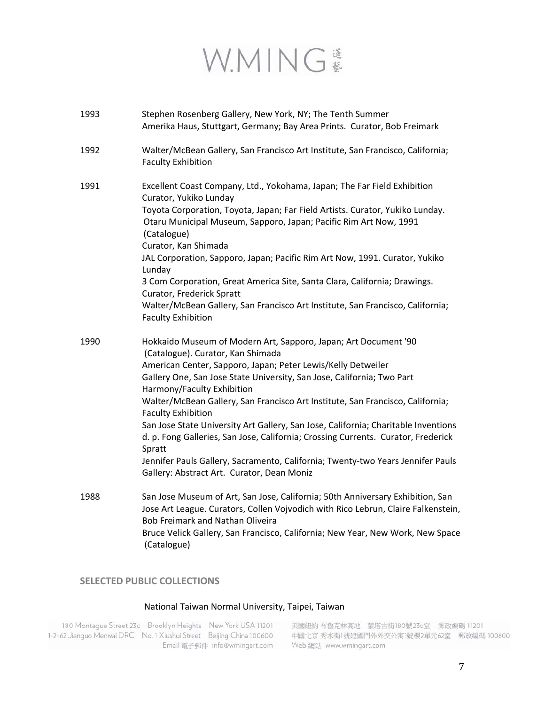## W.MING

| 1993 | Stephen Rosenberg Gallery, New York, NY; The Tenth Summer<br>Amerika Haus, Stuttgart, Germany; Bay Area Prints. Curator, Bob Freimark                                                                                                                                                                                                                                                                                                                                                                                                                                                                                                                                                                             |
|------|-------------------------------------------------------------------------------------------------------------------------------------------------------------------------------------------------------------------------------------------------------------------------------------------------------------------------------------------------------------------------------------------------------------------------------------------------------------------------------------------------------------------------------------------------------------------------------------------------------------------------------------------------------------------------------------------------------------------|
| 1992 | Walter/McBean Gallery, San Francisco Art Institute, San Francisco, California;<br><b>Faculty Exhibition</b>                                                                                                                                                                                                                                                                                                                                                                                                                                                                                                                                                                                                       |
| 1991 | Excellent Coast Company, Ltd., Yokohama, Japan; The Far Field Exhibition<br>Curator, Yukiko Lunday<br>Toyota Corporation, Toyota, Japan; Far Field Artists. Curator, Yukiko Lunday.<br>Otaru Municipal Museum, Sapporo, Japan; Pacific Rim Art Now, 1991<br>(Catalogue)<br>Curator, Kan Shimada<br>JAL Corporation, Sapporo, Japan; Pacific Rim Art Now, 1991. Curator, Yukiko<br>Lunday<br>3 Com Corporation, Great America Site, Santa Clara, California; Drawings.<br>Curator, Frederick Spratt<br>Walter/McBean Gallery, San Francisco Art Institute, San Francisco, California;<br><b>Faculty Exhibition</b>                                                                                                 |
| 1990 | Hokkaido Museum of Modern Art, Sapporo, Japan; Art Document '90<br>(Catalogue). Curator, Kan Shimada<br>American Center, Sapporo, Japan; Peter Lewis/Kelly Detweiler<br>Gallery One, San Jose State University, San Jose, California; Two Part<br>Harmony/Faculty Exhibition<br>Walter/McBean Gallery, San Francisco Art Institute, San Francisco, California;<br><b>Faculty Exhibition</b><br>San Jose State University Art Gallery, San Jose, California; Charitable Inventions<br>d. p. Fong Galleries, San Jose, California; Crossing Currents. Curator, Frederick<br>Spratt<br>Jennifer Pauls Gallery, Sacramento, California; Twenty-two Years Jennifer Pauls<br>Gallery: Abstract Art. Curator, Dean Moniz |
| 1988 | San Jose Museum of Art, San Jose, California; 50th Anniversary Exhibition, San<br>Jose Art League. Curators, Collen Vojvodich with Rico Lebrun, Claire Falkenstein,<br><b>Bob Freimark and Nathan Oliveira</b><br>Bruce Velick Gallery, San Francisco, California; New Year, New Work, New Space<br>(Catalogue)                                                                                                                                                                                                                                                                                                                                                                                                   |

### **SELECTED PUBLIC COLLECTIONS**

### National Taiwan Normal University, Taipei, Taiwan

180 Montague Street 23c Brooklyn Heights New York USA 11201 1-2-62 Jianguo Menwai DRC No. 1 Xiushui Street Beijing China 100600 Email 電子郵件 info@wmingart.com